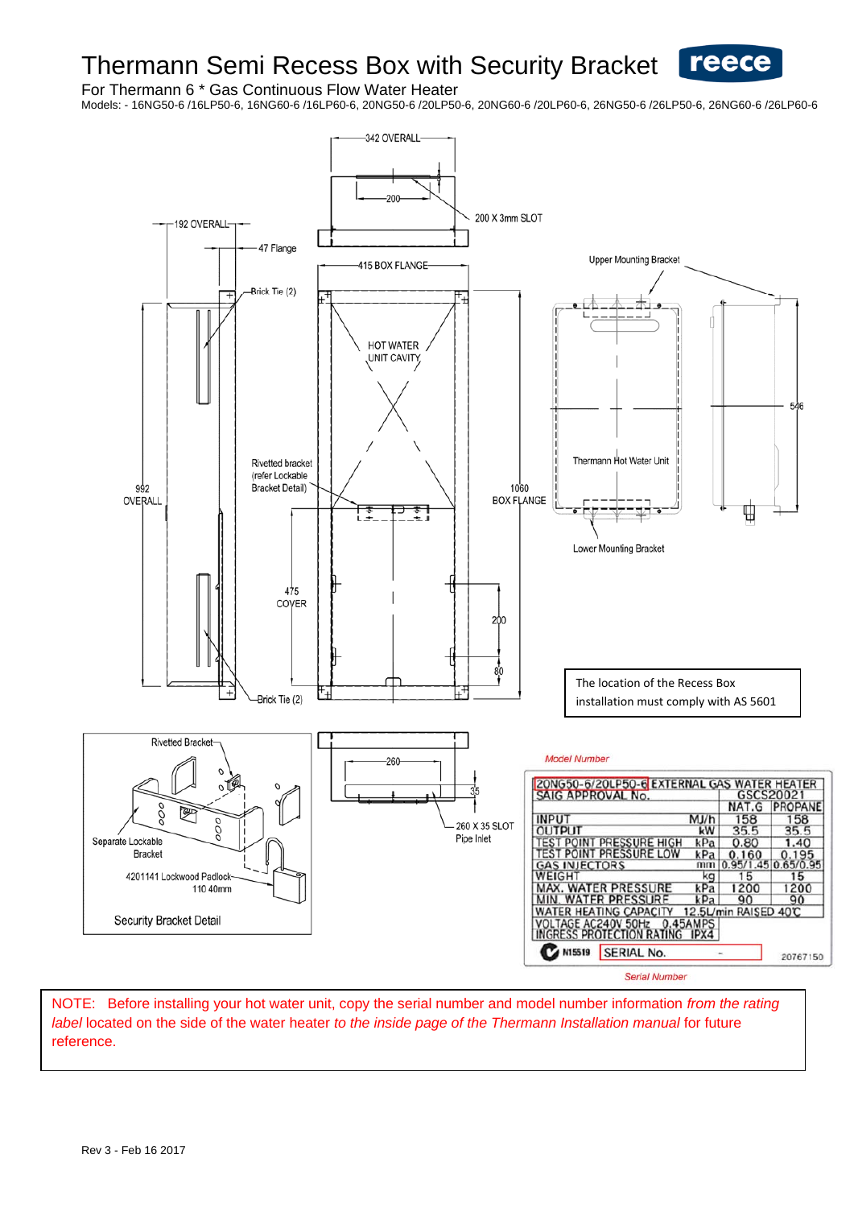# Thermann Semi Recess Box with Security Bracket **Feece**

For Thermann 6 \* Gas Continuous Flow Water Heater

Models: - 16NG50-6 /16LP50-6, 16NG60-6 /16LP60-6, 20NG50-6 /20LP50-6, 20NG60-6 /20LP60-6, 26NG50-6 /26LP50-6, 26NG60-6 /26LP60-6



Serial Number

NOTE: Before installing your hot water unit, copy the serial number and model number information *from the rating label* located on the side of the water heater *to the inside page of the Thermann Installation manual* for future reference.